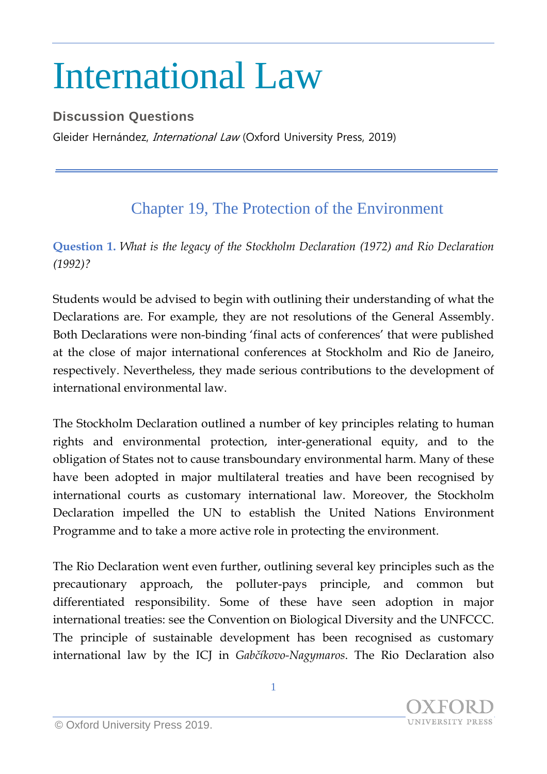## International Law

## **Discussion Questions**

Gleider Hernández, *International Law* (Oxford University Press, 2019)

## Chapter 19, The Protection of the Environment

**Question 1.** *What is the legacy of the Stockholm Declaration (1972) and Rio Declaration (1992)?*

Students would be advised to begin with outlining their understanding of what the Declarations are. For example, they are not resolutions of the General Assembly. Both Declarations were non-binding 'final acts of conferences' that were published at the close of major international conferences at Stockholm and Rio de Janeiro, respectively. Nevertheless, they made serious contributions to the development of international environmental law.

The Stockholm Declaration outlined a number of key principles relating to human rights and environmental protection, inter-generational equity, and to the obligation of States not to cause transboundary environmental harm. Many of these have been adopted in major multilateral treaties and have been recognised by international courts as customary international law. Moreover, the Stockholm Declaration impelled the UN to establish the United Nations Environment Programme and to take a more active role in protecting the environment.

The Rio Declaration went even further, outlining several key principles such as the precautionary approach, the polluter-pays principle, and common but differentiated responsibility. Some of these have seen adoption in major international treaties: see the Convention on Biological Diversity and the UNFCCC. The principle of sustainable development has been recognised as customary international law by the ICJ in *Gabčíkovo-Nagymaros*. The Rio Declaration also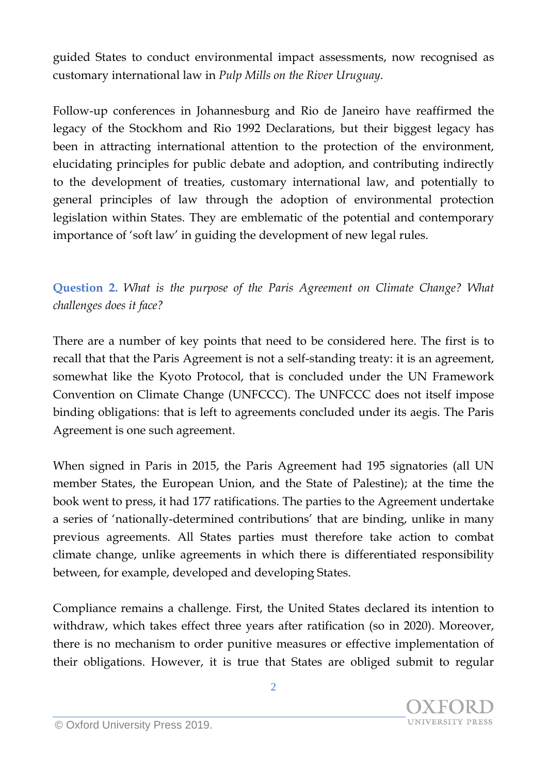guided States to conduct environmental impact assessments, now recognised as customary international law in *Pulp Mills on the River Uruguay*.

Follow-up conferences in Johannesburg and Rio de Janeiro have reaffirmed the legacy of the Stockhom and Rio 1992 Declarations, but their biggest legacy has been in attracting international attention to the protection of the environment, elucidating principles for public debate and adoption, and contributing indirectly to the development of treaties, customary international law, and potentially to general principles of law through the adoption of environmental protection legislation within States. They are emblematic of the potential and contemporary importance of 'soft law' in guiding the development of new legal rules.

**Question 2.** *What is the purpose of the Paris Agreement on Climate Change? What challenges does it face?*

There are a number of key points that need to be considered here. The first is to recall that that the Paris Agreement is not a self-standing treaty: it is an agreement, somewhat like the Kyoto Protocol, that is concluded under the UN Framework Convention on Climate Change (UNFCCC). The UNFCCC does not itself impose binding obligations: that is left to agreements concluded under its aegis. The Paris Agreement is one such agreement.

When signed in Paris in 2015, the Paris Agreement had 195 signatories (all UN member States, the European Union, and the State of Palestine); at the time the book went to press, it had 177 ratifications. The parties to the Agreement undertake a series of 'nationally-determined contributions' that are binding, unlike in many previous agreements. All States parties must therefore take action to combat climate change, unlike agreements in which there is differentiated responsibility between, for example, developed and developing States.

Compliance remains a challenge. First, the United States declared its intention to withdraw, which takes effect three years after ratification (so in 2020). Moreover, there is no mechanism to order punitive measures or effective implementation of their obligations. However, it is true that States are obliged submit to regular

**UNIVERSITY PRESS**